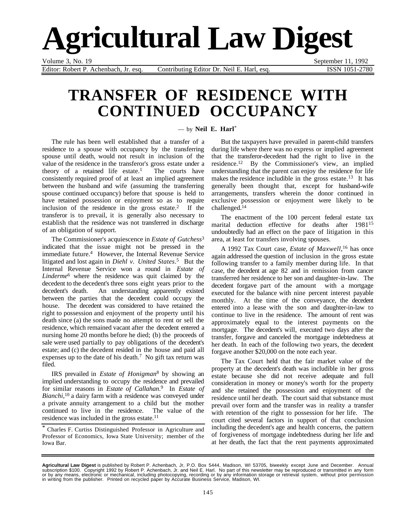# **Agricultural Law Digest**

Editor: Robert P. Achenbach, Jr. esq. Contributing Editor Dr. Neil E. Harl, esq. ISSN 1051-2780

Volume 3, No. 19 September 11, 1992

### **TRANSFER OF RESIDENCE WITH CONTINUED OCCUPANCY**

#### — by **Neil E. Harl**\*

The rule has been well established that a transfer of a residence to a spouse with occupancy by the transferring spouse until death, would not result in inclusion of the value of the residence in the transferor's gross estate under a theory of a retained life estate.<sup>1</sup> The courts have consistently required proof of at least an implied agreement between the husband and wife (assuming the transferring spouse continued occupancy) before that spouse is held to have retained possession or enjoyment so as to require inclusion of the residence in the gross estate.<sup>2</sup> If the transferor is to prevail, it is generally also necessary to establish that the residence was not transferred in discharge of an obligation of support.

The Commissioner's acquiescence in *Estate of Gutchess*<sup>3</sup> indicated that the issue might not be pressed in the immediate future.<sup>4</sup> However, the Internal Revenue Service litigated and lost again in *Diehl v. United States*. 5 But the Internal Revenue Service won a round in *Estate of Linderme*6 where the residence was quit claimed by the decedent to the decedent's three sons eight years prior to the decedent's death. An understanding apparently existed between the parties that the decedent could occupy the house. The decedent was considered to have retained the right to possession and enjoyment of the property until his death since (a) the sons made no attempt to rent or sell the residence, which remained vacant after the decedent entered a nursing home 20 months before he died; (b) the proceeds of sale were used partially to pay obligations of the decedent's estate; and (c) the decedent resided in the house and paid all expenses up to the date of his death.<sup>7</sup> No gift tax return was filed.

IRS prevailed in *Estate of Honigman*8 by showing an implied understanding to occupy the residence and prevailed for similar reasons in *Estate of Callahan*. 9 In *Estate of Bianchi*, 10 a dairy farm with a residence was conveyed under a private annuity arrangement to a child but the mother continued to live in the residence. The value of the residence was included in the gross estate.11

But the taxpayers have prevailed in parent-child transfers during life where there was no express or implied agreement that the transferor-decedent had the right to live in the residence.12 By the Commissioner's view, an implied understanding that the parent can enjoy the residence for life makes the residence includible in the gross estate.<sup>13</sup> It has generally been thought that, except for husband-wife arrangements, transfers wherein the donor continued in exclusive possession or enjoyment were likely to be challenged.14

The enactment of the 100 percent federal estate tax marital deduction effective for deaths after 198115 undoubtedly had an effect on the pace of litigation in this area, at least for transfers involving spouses.

A 1992 Tax Court case, *Estate of Maxwell*, 16 has once again addressed the question of inclusion in the gross estate following transfer to a family member during life. In that case, the decedent at age 82 and in remission from cancer transferred her residence to her son and daughter-in-law. The decedent forgave part of the amount with a mortgage executed for the balance with nine percent interest payable monthly. At the time of the conveyance, the decedent entered into a lease with the son and daughter-in-law to continue to live in the residence. The amount of rent was approximately equal to the interest payments on the mortgage. The decedent's will, executed two days after the transfer, forgave and canceled the mortgage indebtedness at her death. In each of the following two years, the decedent forgave another \$20,000 on the note each year.

The Tax Court held that the fair market value of the property at the decedent's death was includible in her gross estate because she did not receive adequate and full consideration in money or money's worth for the property and she retained the possession and enjoyment of the residence until her death. The court said that substance must prevail over form and the transfer was in reality a transfer with retention of the right to possession for her life. The court cited several factors in support of that conclusion including the decedent's age and health concerns, the pattern of forgiveness of mortgage indebtedness during her life and at her death, the fact that the rent payments approximated

<sup>\*</sup> Charles F. Curtiss Distinguished Professor in Agriculture and Professor of Economics, Iowa State University; member of the Iowa Bar.

**Agricultural Law Digest** is published by Robert P. Achenbach, Jr, P.O. Box 5444, Madison, WI 53705, biweekly except June and December. Annual<br>subscription \$100. Copyright 1992 by Robert P. Achenbach, Jr. and Neil E. Harl. in writing from the publisher. Printed on recycled paper by Accurate Business Service, Madison, WI.